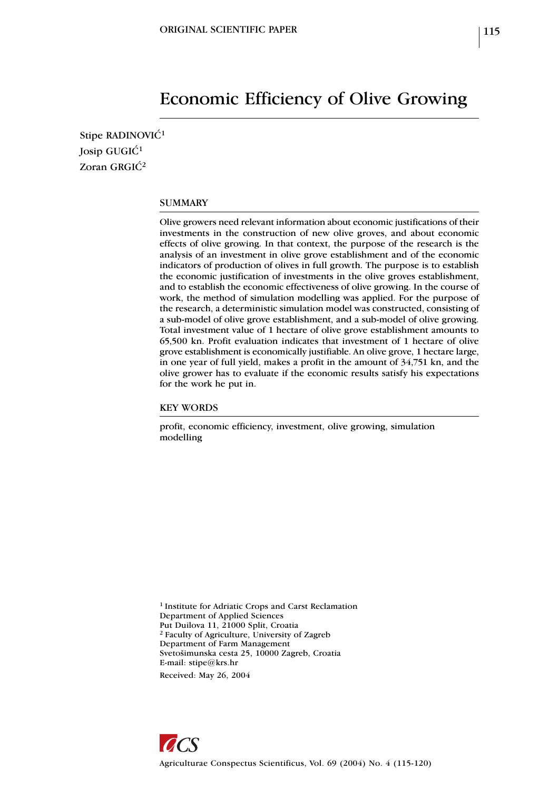# Economic Efficiency of Olive Growing

Stipe RADINOVIĆ<sup>1</sup> Josip GUGIĆ<sup>1</sup> Zoran GRGIĆ<sup>2</sup>

#### **SUMMARY**

Olive growers need relevant information about economic justifications of their investments in the construction of new olive groves, and about economic effects of olive growing. In that context, the purpose of the research is the analysis of an investment in olive grove establishment and of the economic indicators of production of olives in full growth. The purpose is to establish the economic justification of investments in the olive groves establishment, and to establish the economic effectiveness of olive growing. In the course of work, the method of simulation modelling was applied. For the purpose of the research, a deterministic simulation model was constructed, consisting of a sub-model of olive grove establishment, and a sub-model of olive growing. Total investment value of 1 hectare of olive grove establishment amounts to 65,500 kn. Profit evaluation indicates that investment of 1 hectare of olive grove establishment is economically justifiable. An olive grove, 1 hectare large, in one year of full yield, makes a profit in the amount of 34,751 kn, and the olive grower has to evaluate if the economic results satisfy his expectations for the work he put in.

# KEY WORDS

profit, economic efficiency, investment, olive growing, simulation modelling

1 Institute for Adriatic Crops and Carst Reclamation Department of Applied Sciences Put Duilova 11, 21000 Split, Croatia 2 Faculty of Agriculture, University of Zagreb Department of Farm Management Svetošimunska cesta 25, 10000 Zagreb, Croatia E-mail: stipe@krs.hr Received: May 26, 2004

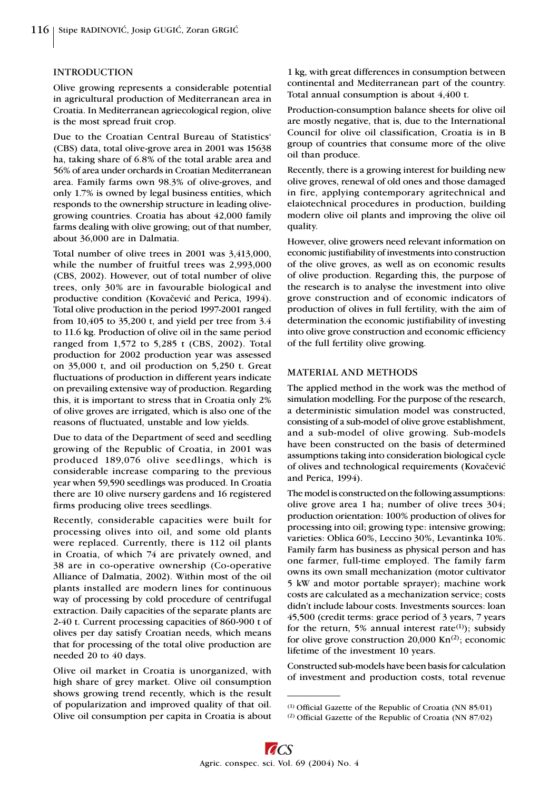#### INTRODUCTION

Olive growing represents a considerable potential in agricultural production of Mediterranean area in Croatia. In Mediterranean agriecological region, olive is the most spread fruit crop.

Due to the Croatian Central Bureau of Statistics' (CBS) data, total olive-grove area in 2001 was 15638 ha, taking share of 6.8% of the total arable area and 56% of area under orchards in Croatian Mediterranean area. Family farms own 98.3% of olive-groves, and only 1.7% is owned by legal business entities, which responds to the ownership structure in leading olivegrowing countries. Croatia has about 42,000 family farms dealing with olive growing; out of that number, about 36,000 are in Dalmatia.

Total number of olive trees in 2001 was 3,413,000, while the number of fruitful trees was 2,993,000 (CBS, 2002). However, out of total number of olive trees, only 30% are in favourable biological and productive condition (Kovačević and Perica, 1994). Total olive production in the period 1997-2001 ranged from 10,405 to 35,200 t, and yield per tree from 3.4 to 11.6 kg. Production of olive oil in the same period ranged from 1,572 to 5,285 t (CBS, 2002). Total production for 2002 production year was assessed on 35,000 t, and oil production on 5,250 t. Great fluctuations of production in different years indicate on prevailing extensive way of production. Regarding this, it is important to stress that in Croatia only 2% of olive groves are irrigated, which is also one of the reasons of fluctuated, unstable and low yields.

Due to data of the Department of seed and seedling growing of the Republic of Croatia, in 2001 was produced 189,076 olive seedlings, which is considerable increase comparing to the previous year when 59,590 seedlings was produced. In Croatia there are 10 olive nursery gardens and 16 registered firms producing olive trees seedlings.

Recently, considerable capacities were built for processing olives into oil, and some old plants were replaced. Currently, there is 112 oil plants in Croatia, of which 74 are privately owned, and 38 are in co-operative ownership (Co-operative Alliance of Dalmatia, 2002). Within most of the oil plants installed are modern lines for continuous way of processing by cold procedure of centrifugal extraction. Daily capacities of the separate plants are 2-40 t. Current processing capacities of 860-900 t of olives per day satisfy Croatian needs, which means that for processing of the total olive production are needed 20 to 40 days.

Olive oil market in Croatia is unorganized, with high share of grey market. Olive oil consumption shows growing trend recently, which is the result of popularization and improved quality of that oil. Olive oil consumption per capita in Croatia is about

1 kg, with great differences in consumption between continental and Mediterranean part of the country. Total annual consumption is about 4,400 t.

Production-consumption balance sheets for olive oil are mostly negative, that is, due to the International Council for olive oil classification, Croatia is in B group of countries that consume more of the olive oil than produce.

Recently, there is a growing interest for building new olive groves, renewal of old ones and those damaged in fire, applying contemporary agritechnical and elaiotechnical procedures in production, building modern olive oil plants and improving the olive oil quality.

However, olive growers need relevant information on economic justifiability of investments into construction of the olive groves, as well as on economic results of olive production. Regarding this, the purpose of the research is to analyse the investment into olive grove construction and of economic indicators of production of olives in full fertility, with the aim of determination the economic justifiability of investing into olive grove construction and economic efficiency of the full fertility olive growing.

#### MATERIAL AND METHODS

The applied method in the work was the method of simulation modelling. For the purpose of the research, a deterministic simulation model was constructed, consisting of a sub-model of olive grove establishment, and a sub-model of olive growing. Sub-models have been constructed on the basis of determined assumptions taking into consideration biological cycle of olives and technological requirements (Kovačević and Perica, 1994).

The model is constructed on the following assumptions: olive grove area 1 ha; number of olive trees 304; production orientation: 100% production of olives for processing into oil; growing type: intensive growing; varieties: Oblica 60%, Leccino 30%, Levantinka 10%. Family farm has business as physical person and has one farmer, full-time employed. The family farm owns its own small mechanization (motor cultivator 5 kW and motor portable sprayer); machine work costs are calculated as a mechanization service; costs didn't include labour costs. Investments sources: loan 45,500 (credit terms: grace period of 3 years, 7 years for the return, 5% annual interest rate<sup>(1)</sup>); subsidy for olive grove construction 20,000 Kn<sup>(2)</sup>; economic lifetime of the investment 10 years.

Constructed sub-models have been basis for calculation of investment and production costs, total revenue

<sup>(1)</sup> Official Gazette of the Republic of Croatia (NN 85/01)

<sup>(2)</sup> Official Gazette of the Republic of Croatia (NN 87/02)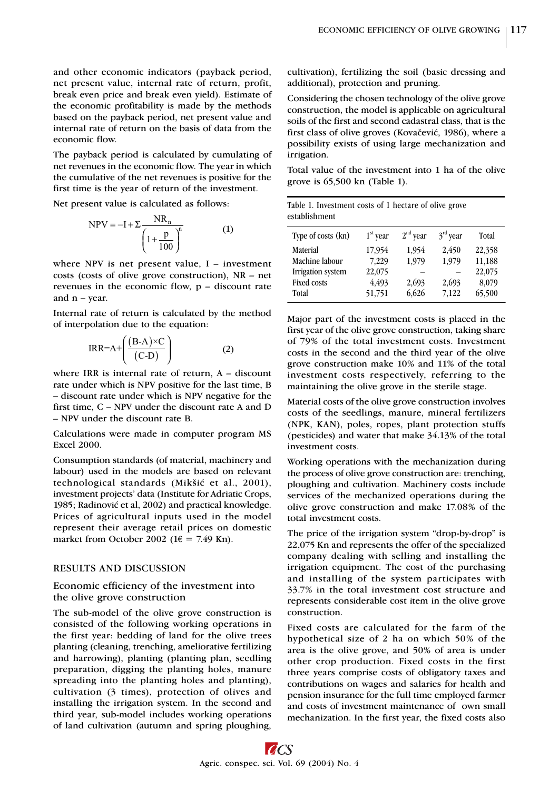and other economic indicators (payback period, net present value, internal rate of return, profit, break even price and break even yield). Estimate of the economic profitability is made by the methods based on the payback period, net present value and internal rate of return on the basis of data from the economic flow.

The payback period is calculated by cumulating of net revenues in the economic flow. The year in which the cumulative of the net revenues is positive for the first time is the year of return of the investment.

Net present value is calculated as follows:

$$
NPV = -I + \Sigma \frac{NR_n}{\left(1 + \frac{p}{100}\right)^n}
$$
 (1)

where NPV is net present value, I – investment costs (costs of olive grove construction), NR – net revenues in the economic flow, p – discount rate and n – year.

Internal rate of return is calculated by the method of interpolation due to the equation:

$$
IRR=A+\left(\frac{(B-A)\times C}{(C-D)}\right) \tag{2}
$$

where IRR is internal rate of return, A – discount rate under which is NPV positive for the last time, B – discount rate under which is NPV negative for the first time, C – NPV under the discount rate A and D – NPV under the discount rate B.

Calculations were made in computer program MS Excel 2000.

Consumption standards (of material, machinery and labour) used in the models are based on relevant technological standards (Mikšić et al., 2001), investment projects' data (Institute for Adriatic Crops, 1985; Radinović et al, 2002) and practical knowledge. Prices of agricultural inputs used in the model represent their average retail prices on domestic market from October 2002 (1 $\varepsilon$  = 7.49 Kn).

#### RESULTS AND DISCUSSION

#### Economic efficiency of the investment into the olive grove construction

The sub-model of the olive grove construction is consisted of the following working operations in the first year: bedding of land for the olive trees planting (cleaning, trenching, ameliorative fertilizing and harrowing), planting (planting plan, seedling preparation, digging the planting holes, manure spreading into the planting holes and planting), cultivation (3 times), protection of olives and installing the irrigation system. In the second and third year, sub-model includes working operations of land cultivation (autumn and spring ploughing,

cultivation), fertilizing the soil (basic dressing and additional), protection and pruning.

Considering the chosen technology of the olive grove construction, the model is applicable on agricultural soils of the first and second cadastral class, that is the first class of olive groves (Kovačević, 1986), where a possibility exists of using large mechanization and irrigation.

Total value of the investment into 1 ha of the olive grove is 65,500 kn (Table 1).

|               | Table 1. Investment costs of 1 hectare of olive grove |  |  |
|---------------|-------------------------------------------------------|--|--|
| establishment |                                                       |  |  |

| Type of costs (kn)       | $1st$ year | $2nd$ year | $3rd$ year | Total  |
|--------------------------|------------|------------|------------|--------|
| Material                 | 17,954     | 1,954      | 2,450      | 22,358 |
| Machine labour           | 7,229      | 1,979      | 1,979      | 11,188 |
| <b>Irrigation</b> system | 22,075     |            |            | 22,075 |
| <b>Fixed costs</b>       | 4,493      | 2,693      | 2,693      | 8,079  |
| Total                    | 51,751     | 6,626      | 7,122      | 65,500 |

Major part of the investment costs is placed in the first year of the olive grove construction, taking share of 79% of the total investment costs. Investment costs in the second and the third year of the olive grove construction make 10% and 11% of the total investment costs respectively, referring to the maintaining the olive grove in the sterile stage.

Material costs of the olive grove construction involves costs of the seedlings, manure, mineral fertilizers (NPK, KAN), poles, ropes, plant protection stuffs (pesticides) and water that make 34.13% of the total investment costs.

Working operations with the mechanization during the process of olive grove construction are: trenching, ploughing and cultivation. Machinery costs include services of the mechanized operations during the olive grove construction and make 17.08% of the total investment costs.

The price of the irrigation system "drop-by-drop" is 22,075 Kn and represents the offer of the specialized company dealing with selling and installing the irrigation equipment. The cost of the purchasing and installing of the system participates with 33.7% in the total investment cost structure and represents considerable cost item in the olive grove construction.

Fixed costs are calculated for the farm of the hypothetical size of 2 ha on which 50% of the area is the olive grove, and 50% of area is under other crop production. Fixed costs in the first three years comprise costs of obligatory taxes and contributions on wages and salaries for health and pension insurance for the full time employed farmer and costs of investment maintenance of own small mechanization. In the first year, the fixed costs also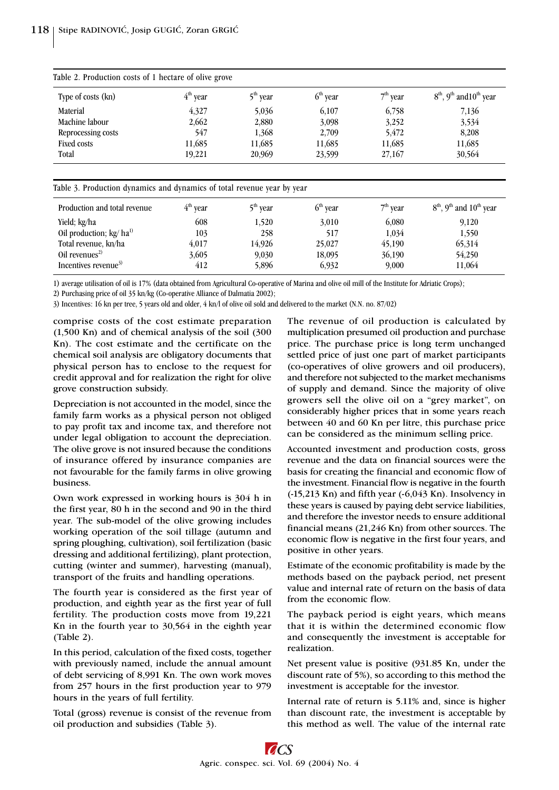| Type of costs (kn) | $4th$ year | 5 <sup>th</sup> year | $6th$ year | $7th$ year | $8th$ , 9 <sup>th</sup> and 10 <sup>th</sup> year |
|--------------------|------------|----------------------|------------|------------|---------------------------------------------------|
| <b>Material</b>    | 4,327      | 5,036                | 6,107      | 6,758      | 7,136                                             |
| Machine labour     | 2,662      | 2,880                | 3,098      | 3,252      | 3,534                                             |
| Reprocessing costs | 547        | 1,368                | 2,709      | 5,472      | 8,208                                             |
| <b>Fixed costs</b> | 11,685     | 11,685               | 11,685     | 11,685     | 11,685                                            |
| Total              | 19,221     | 20,969               | 23,599     | 27,167     | 30,564                                            |

Table 3. Production dynamics and dynamics of total revenue year by year

| Production and total revenue     | 4 <sup>th</sup> year | 5 <sup>th</sup> year | $6th$ year | $7th$ year | $8th$ , 9 <sup>th</sup> and 10 <sup>th</sup> year |
|----------------------------------|----------------------|----------------------|------------|------------|---------------------------------------------------|
| Yield; kg/ha                     | 608                  | 1,520                | 3,010      | 6,080      | 9,120                                             |
| Oil production; $kg/ha^{1}$      | 103                  | 258                  | 517        | 1,034      | 1,550                                             |
| Total revenue, kn/ha             | 4,017                | 14,926               | 25,027     | 45,190     | 65,314                                            |
| Oil revenues <sup>2)</sup>       | 3,605                | 9,030                | 18,095     | 36,190     | 54,250                                            |
| Incentives revenue <sup>3)</sup> | 412                  | 5,896                | 6,932      | 9,000      | 11,064                                            |

1) average utilisation of oil is 17% (data obtained from Agricultural Co-operative of Marina and olive oil mill of the Institute for Adriatic Crops);

2) Purchasing price of oil 35 kn/kg (Co-operative Alliance of Dalmatia 2002);

3) Incentives: 16 kn per tree, 5 years old and older, 4 kn/l of olive oil sold and delivered to the market (N.N. no. 87/02)

comprise costs of the cost estimate preparation (1,500 Kn) and of chemical analysis of the soil (300 Kn). The cost estimate and the certificate on the chemical soil analysis are obligatory documents that physical person has to enclose to the request for credit approval and for realization the right for olive grove construction subsidy.

Depreciation is not accounted in the model, since the family farm works as a physical person not obliged to pay profit tax and income tax, and therefore not under legal obligation to account the depreciation. The olive grove is not insured because the conditions of insurance offered by insurance companies are not favourable for the family farms in olive growing business.

Own work expressed in working hours is 304 h in the first year, 80 h in the second and 90 in the third year. The sub-model of the olive growing includes working operation of the soil tillage (autumn and spring ploughing, cultivation), soil fertilization (basic dressing and additional fertilizing), plant protection, cutting (winter and summer), harvesting (manual), transport of the fruits and handling operations.

The fourth year is considered as the first year of production, and eighth year as the first year of full fertility. The production costs move from 19,221 Kn in the fourth year to 30,564 in the eighth year (Table 2).

In this period, calculation of the fixed costs, together with previously named, include the annual amount of debt servicing of 8,991 Kn. The own work moves from 257 hours in the first production year to 979 hours in the years of full fertility.

Total (gross) revenue is consist of the revenue from oil production and subsidies (Table 3).

The revenue of oil production is calculated by multiplication presumed oil production and purchase price. The purchase price is long term unchanged settled price of just one part of market participants (co-operatives of olive growers and oil producers), and therefore not subjected to the market mechanisms of supply and demand. Since the majority of olive growers sell the olive oil on a "grey market", on considerably higher prices that in some years reach between 40 and 60 Kn per litre, this purchase price can be considered as the minimum selling price.

Accounted investment and production costs, gross revenue and the data on financial sources were the basis for creating the financial and economic flow of the investment. Financial flow is negative in the fourth (-15,213 Kn) and fifth year (-6,043 Kn). Insolvency in these years is caused by paying debt service liabilities, and therefore the investor needs to ensure additional financial means (21,246 Kn) from other sources. The economic flow is negative in the first four years, and positive in other years.

Estimate of the economic profitability is made by the methods based on the payback period, net present value and internal rate of return on the basis of data from the economic flow.

The payback period is eight years, which means that it is within the determined economic flow and consequently the investment is acceptable for realization.

Net present value is positive (931.85 Kn, under the discount rate of 5%), so according to this method the investment is acceptable for the investor.

Internal rate of return is 5.11% and, since is higher than discount rate, the investment is acceptable by this method as well. The value of the internal rate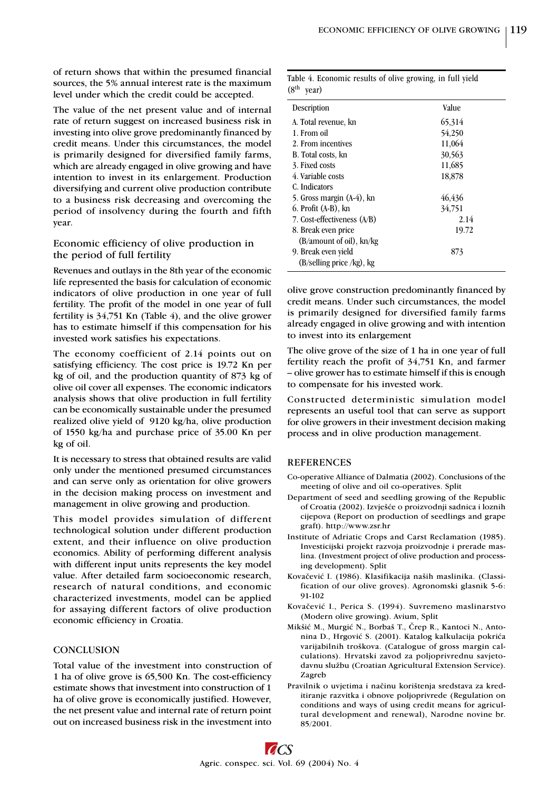of return shows that within the presumed financial sources, the 5% annual interest rate is the maximum level under which the credit could be accepted.

The value of the net present value and of internal rate of return suggest on increased business risk in investing into olive grove predominantly financed by credit means. Under this circumstances, the model is primarily designed for diversified family farms, which are already engaged in olive growing and have intention to invest in its enlargement. Production diversifying and current olive production contribute to a business risk decreasing and overcoming the period of insolvency during the fourth and fifth year.

# Economic efficiency of olive production in the period of full fertility

Revenues and outlays in the 8th year of the economic life represented the basis for calculation of economic indicators of olive production in one year of full fertility. The profit of the model in one year of full fertility is 34,751 Kn (Table 4), and the olive grower has to estimate himself if this compensation for his invested work satisfies his expectations.

The economy coefficient of 2.14 points out on satisfying efficiency. The cost price is 19.72 Kn per kg of oil, and the production quantity of 873 kg of olive oil cover all expenses. The economic indicators analysis shows that olive production in full fertility can be economically sustainable under the presumed realized olive yield of 9120 kg/ha, olive production of 1550 kg/ha and purchase price of 35.00 Kn per kg of oil.

It is necessary to stress that obtained results are valid only under the mentioned presumed circumstances and can serve only as orientation for olive growers in the decision making process on investment and management in olive growing and production.

This model provides simulation of different technological solution under different production extent, and their influence on olive production economics. Ability of performing different analysis with different input units represents the key model value. After detailed farm socioeconomic research, research of natural conditions, and economic characterized investments, model can be applied for assaying different factors of olive production economic efficiency in Croatia.

# **CONCLUSION**

Total value of the investment into construction of 1 ha of olive grove is 65,500 Kn. The cost-efficiency estimate shows that investment into construction of 1 ha of olive grove is economically justified. However, the net present value and internal rate of return point out on increased business risk in the investment into

Table 4. Economic results of olive growing, in full yield (8th year)

| Description                 | Value  |
|-----------------------------|--------|
| A. Total revenue, kn        | 65,314 |
| 1. From oil                 | 54,250 |
| 2. From incentives          | 11,064 |
| B. Total costs, kn          | 30,563 |
| 3. Fixed costs              | 11,685 |
| 4. Variable costs           | 18,878 |
| C. Indicators               |        |
| 5. Gross margin (A-4), kn   | 46,436 |
| 6. Profit (A-B), kn         | 34,751 |
| 7. Cost-effectiveness (A/B) | 2.14   |
| 8. Break even price         | 19.72  |
| (B/amount of oil), kn/kg    |        |
| 9. Break even yield         | 873    |
| $(B/selling price/kg)$ , kg |        |

olive grove construction predominantly financed by credit means. Under such circumstances, the model is primarily designed for diversified family farms already engaged in olive growing and with intention to invest into its enlargement

The olive grove of the size of 1 ha in one year of full fertility reach the profit of 34,751 Kn, and farmer – olive grower has to estimate himself if this is enough to compensate for his invested work.

Constructed deterministic simulation model represents an useful tool that can serve as support for olive growers in their investment decision making process and in olive production management.

# REFERENCES

- Co-operative Alliance of Dalmatia (2002). Conclusions of the meeting of olive and oil co-operatives. Split
- Department of seed and seedling growing of the Republic of Croatia (2002). Izvješæe o proizvodnji sadnica i loznih cijepova (Report on production of seedlings and grape graft). http://www.zsr.hr
- Institute of Adriatic Crops and Carst Reclamation (1985). Investicijski projekt razvoja proizvodnje i prerade maslina. (Investment project of olive production and processing development). Split
- Kovačević I. (1986). Klasifikacija naših maslinika. (Classification of our olive groves). Agronomski glasnik 5-6: 91-102
- Kovačević I., Perica S. (1994). Suvremeno maslinarstvo (Modern olive growing). Avium, Split
- Mikšić M., Murgić N., Borbaš T., Črep R., Kantoci N., Antonina D., Hrgović S. (2001). Katalog kalkulacija pokrića varijabilnih troškova. (Catalogue of gross margin calculations). Hrvatski zavod za poljoprivrednu savjetodavnu službu (Croatian Agricultural Extension Service). Zagreb
- Pravilnik o uvjetima i naèinu korištenja sredstava za kreditiranje razvitka i obnove poljoprivrede (Regulation on conditions and ways of using credit means for agricultural development and renewal), Narodne novine br. 85/2001.